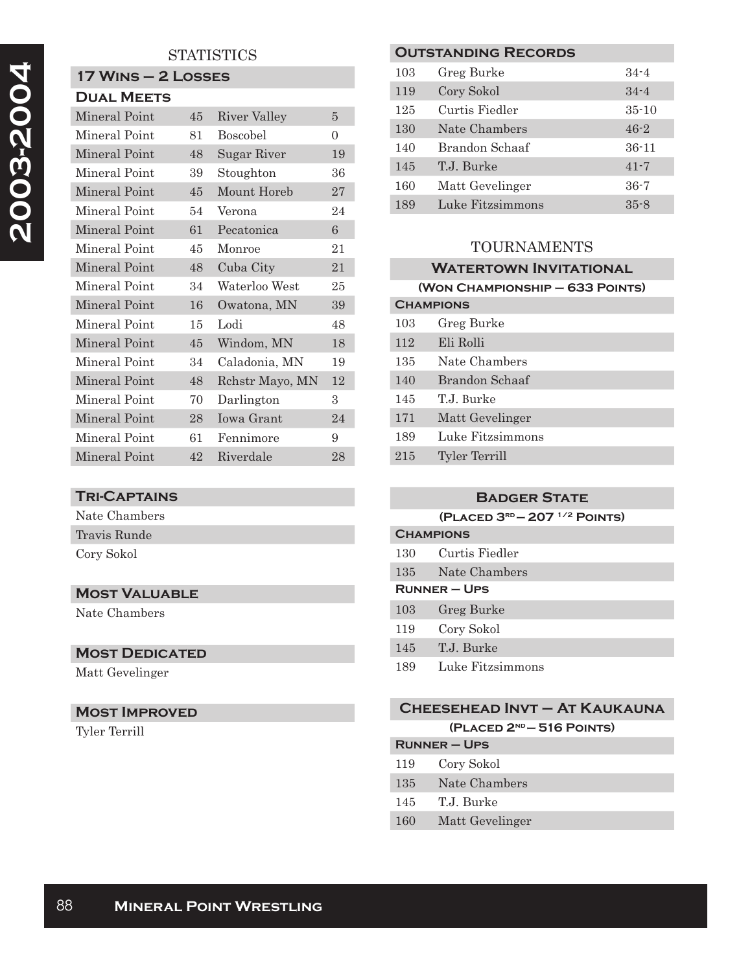# **STATISTICS**

# **17 Wins – 2 Losses**

| <b>DUAL MEETS</b> |    |                 |    |
|-------------------|----|-----------------|----|
| Mineral Point     | 45 | River Valley    | 5  |
| Mineral Point     | 81 | <b>Boscobel</b> | 0  |
| Mineral Point     | 48 | Sugar River     | 19 |
| Mineral Point     | 39 | Stoughton       | 36 |
| Mineral Point     | 45 | Mount Horeb     | 27 |
| Mineral Point     | 54 | Verona          | 24 |
| Mineral Point     | 61 | Pecatonica      | 6  |
| Mineral Point     | 45 | Monroe          | 21 |
| Mineral Point     | 48 | Cuba City       | 21 |
| Mineral Point     | 34 | Waterloo West   | 25 |
| Mineral Point     | 16 | Owatona, MN     | 39 |
| Mineral Point     | 15 | Lodi            | 48 |
| Mineral Point     | 45 | Windom, MN      | 18 |
| Mineral Point     | 34 | Caladonia, MN   | 19 |
| Mineral Point     | 48 | Rehstr Mayo, MN | 12 |
| Mineral Point     | 70 | Darlington      | 3  |
| Mineral Point     | 28 | Iowa Grant      | 24 |
| Mineral Point     | 61 | Fennimore       | 9  |
| Mineral Point     | 42 | Riverdale       | 28 |

#### **Tri-Captains**

| Nate Chambers |
|---------------|
| Travis Runde  |
| Cory Sokol    |

# **Most Valuable**

Nate Chambers

# **MOST DEDICATED**

Matt Gevelinger

# **Most Improved**

Tyler Terrill

| <b>OUTSTANDING RECORDS</b> |                  |           |
|----------------------------|------------------|-----------|
| 103                        | Greg Burke       | $34 - 4$  |
| 119                        | Cory Sokol       | $34 - 4$  |
| 125                        | Curtis Fiedler   | $35 - 10$ |
| 130                        | Nate Chambers    | $46 - 2$  |
| 140                        | Brandon Schaaf   | $36 - 11$ |
| 145                        | T.J. Burke       | $41 - 7$  |
| 160                        | Matt Gevelinger  | $36 - 7$  |
| 189                        | Luke Fitzsimmons | $35 - 8$  |
|                            |                  |           |

# TOURNAMENTS

| <b>WATERTOWN INVITATIONAL</b>   |                  |
|---------------------------------|------------------|
| (WON CHAMPIONSHIP - 633 POINTS) |                  |
| <b>CHAMPIONS</b>                |                  |
| 103                             | Greg Burke       |
| 112                             | Eli Rolli        |
| 135                             | Nate Chambers    |
| 140                             | Brandon Schaaf   |
| 145                             | T.J. Burke       |
| 171                             | Matt Gevelinger  |
| 189                             | Luke Fitzsimmons |
| 215                             | Tyler Terrill    |

#### **Badger State**

**(Placed 3rd — 207 1/2 Points)**

| <b>CHAMPIONS</b> |                  |
|------------------|------------------|
| 130              | Curtis Fiedler   |
| 135              | Nate Chambers    |
|                  | $RUNNER - UPS$   |
| 103              | Greg Burke       |
| 119              | Cory Sokol       |
| 145              | T.J. Burke       |
| 189              | Luke Fitzsimmons |
|                  |                  |

# **Cheesehead Invt – At Kaukauna (Placed 2nd — 516 Points)**

| <b>RUNNER-UPS</b> |  |
|-------------------|--|
| Cory Sokol        |  |
| Nate Chambers     |  |
| T.J. Burke        |  |
| Matt Gevelinger   |  |
|                   |  |